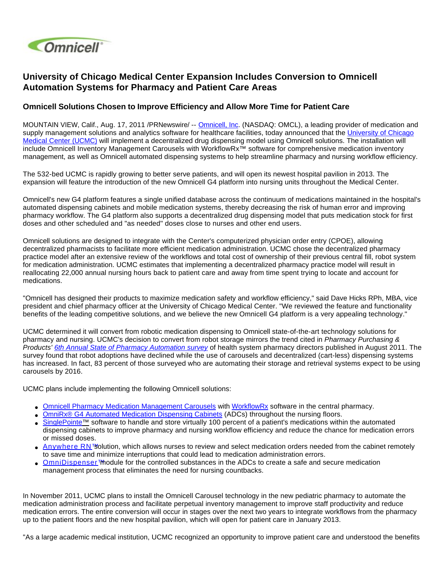

## **University of Chicago Medical Center Expansion Includes Conversion to Omnicell Automation Systems for Pharmacy and Patient Care Areas**

## **Omnicell Solutions Chosen to Improve Efficiency and Allow More Time for Patient Care**

MOUNTAIN VIEW, Calif., Aug. 17, 2011 /PRNewswire/ -- [Omnicell, Inc.](http://www.omnicell.com/) (NASDAQ: OMCL), a leading provider of medication and supply management solutions and analytics software for healthcare facilities, today announced that the University of Chicago [Medical Center \(UCMC\)](http://www.uchospitals.edu/index.shtml) will implement a decentralized drug dispensing model using Omnicell solutions. The installation will include Omnicell Inventory Management Carousels with WorkflowRx™ software for comprehensive medication inventory management, as well as Omnicell automated dispensing systems to help streamline pharmacy and nursing workflow efficiency.

The 532-bed UCMC is rapidly growing to better serve patients, and will open its newest hospital pavilion in 2013. The expansion will feature the introduction of the new Omnicell G4 platform into nursing units throughout the Medical Center.

Omnicell's new G4 platform features a single unified database across the continuum of medications maintained in the hospital's automated dispensing cabinets and mobile medication systems, thereby decreasing the risk of human error and improving pharmacy workflow. The G4 platform also supports a decentralized drug dispensing model that puts medication stock for first doses and other scheduled and "as needed" doses close to nurses and other end users.

Omnicell solutions are designed to integrate with the Center's computerized physician order entry (CPOE), allowing decentralized pharmacists to facilitate more efficient medication administration. UCMC chose the decentralized pharmacy practice model after an extensive review of the workflows and total cost of ownership of their previous central fill, robot system for medication administration. UCMC estimates that implementing a decentralized pharmacy practice model will result in reallocating 22,000 annual nursing hours back to patient care and away from time spent trying to locate and account for medications.

"Omnicell has designed their products to maximize medication safety and workflow efficiency," said Dave Hicks RPh, MBA, vice president and chief pharmacy officer at the University of Chicago Medical Center. "We reviewed the feature and functionality benefits of the leading competitive solutions, and we believe the new Omnicell G4 platform is a very appealing technology."

UCMC determined it will convert from robotic medication dispensing to Omnicell state-of-the-art technology solutions for pharmacy and nursing. UCMC's decision to convert from robot storage mirrors the trend cited in Pharmacy Purchasing & Products' [6th Annual State of Pharmacy Automation survey](http://www.pppmag.com/article/pppv8n8s0/State_of_Pharmacy_Automation_2011) of health system pharmacy directors published in August 2011. The survey found that robot adoptions have declined while the use of carousels and decentralized (cart-less) dispensing systems has increased. In fact, 83 percent of those surveyed who are automating their storage and retrieval systems expect to be using carousels by 2016.

UCMC plans include implementing the following Omnicell solutions:

- [Omnicell Pharmacy Medication Management Carousels](http://www.omnicell.com/Solutions/Central-Pharmacy-Automation/Pharmacy-Workflow/Pages/Carousel.aspx) with [WorkflowRx](http://www.omnicell.com/Solutions/Central-Pharmacy-Automation/Pharmacy-Workflow/Pages/WorkflowRxSoftware.aspx) software in the central pharmacy.
- [OmniRx® G4 Automated Medication Dispensing Cabinets](http://www.omnicell.com/Solutions/Medication-Dispensing/Automated-Dispensing-Cabinets/Pages/OmniRx.aspx) (ADCs) throughout the nursing floors.
- [SinglePointe™](http://www.omnicell.com/Solutions/Medication-Dispensing/Pages/SinglePointe.aspx) software to handle and store virtually 100 percent of a patient's medications within the automated dispensing cabinets to improve pharmacy and nursing workflow efficiency and reduce the chance for medication errors or missed doses.
- [Anywhere RN™](http://www.omnicell.com/Solutions/Medication-Dispensing/Pages/AnywhereRN.aspx) solution, which allows nurses to review and select medication orders needed from the cabinet remotely to save time and minimize interruptions that could lead to medication administration errors.
- [OmniDispenser™](http://www.omnicell.com/Solutions/Medication-Dispensing/Pages/OmniDispenser.aspx)nodule for the controlled substances in the ADCs to create a safe and secure medication management process that eliminates the need for nursing countbacks.

In November 2011, UCMC plans to install the Omnicell Carousel technology in the new pediatric pharmacy to automate the medication administration process and facilitate perpetual inventory management to improve staff productivity and reduce medication errors. The entire conversion will occur in stages over the next two years to integrate workflows from the pharmacy up to the patient floors and the new hospital pavilion, which will open for patient care in January 2013.

"As a large academic medical institution, UCMC recognized an opportunity to improve patient care and understood the benefits